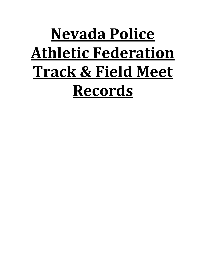# **Nevada Police Athletic Federation Track & Field Meet Records**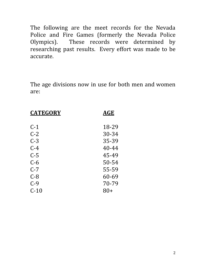The following are the meet records for the Nevada Police and Fire Games (formerly the Nevada Police Olympics). These records were determined by researching past results. Every effort was made to be accurate.

The age divisions now in use for both men and women are:

| <b>CATEGORY</b> | AGE       |
|-----------------|-----------|
| $C-1$           | 18-29     |
| $C-2$           | 30-34     |
| $C-3$           | 35-39     |
| $C-4$           | $40 - 44$ |
| $C-5$           | 45-49     |
| $C-6$           | $50 - 54$ |
| $C - 7$         | 55-59     |
| $C-8$           | 60-69     |
| $C - 9$         | 70-79     |
| $C-10$          | 80+       |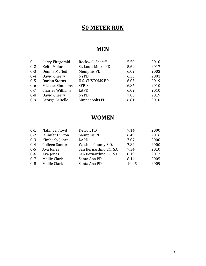## **MEN**

| $C-1$ | Larry Fitzgerald        | Rockwell Sheriff       | 5.59 | 2010 |
|-------|-------------------------|------------------------|------|------|
| $C-2$ | Keith Major             | St. Louis Metro PD     | 5.69 | 2017 |
| $C-3$ | Dennis McNeil           | Memphis PD             | 6.02 | 2003 |
| $C-4$ | David Cherry            | <b>NYPD</b>            | 6.33 | 2001 |
| $C-5$ | Darian Sterns           | <b>U.S. CUSTOMS BP</b> | 6.05 | 2019 |
| $C-6$ | <b>Michael Simmons</b>  | <b>SFPD</b>            | 6.86 | 2010 |
| $C-7$ | <b>Charles Williams</b> | <b>LAPD</b>            | 6.02 | 2010 |
| $C-8$ | David Cherry            | <b>NYPD</b>            | 7.05 | 2019 |
| $C-9$ | George LaBelle          | Minneapolis FD         | 6.81 | 2010 |

| $C-1$ | Nakinya Floyd   | Detroit PD              | 7.14  | 2000 |
|-------|-----------------|-------------------------|-------|------|
| $C-2$ | Jennifer Burton | Memphis PD              | 6.49  | 2016 |
| $C-3$ | Kimberly Jones  | <b>LAPD</b>             | 7.07  | 2000 |
| $C-4$ | Colleen Santor  | Washoe County S.O.      | 7.84  | 2000 |
| $C-5$ | Ava Jones       | San Bernardino CO. S.O. | 7.34  | 2010 |
| $C-6$ | Ava Jones       | San Bernardino CO. S.O. | 8.19  | 2012 |
| $C-7$ | Mellie Clark    | Santa Ana PD            | 8.44  | 2005 |
| $C-8$ | Mellie Clark    | Santa Ana PD            | 10.05 | 2009 |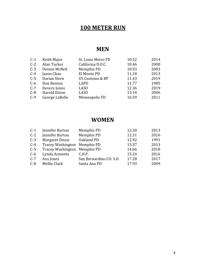#### **MEN**

| $C-1$ | Keith Major         | St. Louis Metro PD         | 10.52 | 2014 |
|-------|---------------------|----------------------------|-------|------|
| $C-2$ | Alan Tucker         | California D.O.C.          | 10.46 | 2000 |
| $C-3$ | Dennis McNeil       | Memphis PD                 | 10.93 | 2003 |
| $C-4$ | Jason Chao          | El Monte PD                | 11.18 | 2013 |
| $C-5$ | Darian Stern        | <b>US Customs &amp; BP</b> | 11.43 | 2019 |
| $C-6$ | Don Benton          | LAPD                       | 11.77 | 1985 |
| $C-7$ | Devery Jones        | <b>LASO</b>                | 12.36 | 2019 |
| $C-8$ | <b>Harold Dixon</b> | <b>LASO</b>                | 13.14 | 2006 |
| $C-9$ | George LaBelle      | Minneapolis FD             | 16.59 | 2011 |
|       |                     |                            |       |      |

| $C-1$ | Jennifer Burton              | Memphis PD              | 12.30 | 2013 |
|-------|------------------------------|-------------------------|-------|------|
| $C-2$ | Jennifer Burton              | Memphis PD              | 12.31 | 2016 |
| $C-3$ | Margaret Dixon               | Oakland PD              | 12.92 | 1991 |
| $C-4$ | Tracey Washington Memphis PD |                         | 13.37 | 2013 |
| $C-5$ | Tracey Washington Memphis PD |                         | 14.66 | 2018 |
| $C-6$ | Lynda Armenta                | C.H.P.                  | 15.24 | 2016 |
| $C-7$ | Ava Jones                    | San Bernardino CO. S.O. | 17.28 | 2017 |
| $C-8$ | Mellie Clark                 | Santa Ana PD            | 17.93 | 2009 |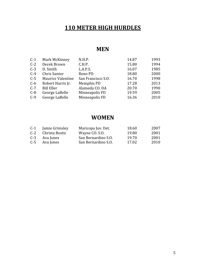# **110 METER HIGH HURDLES**

#### **MEN**

| $C-1$ | Mark McKinney     | N.H.P.             | 14.87 | 1993 |
|-------|-------------------|--------------------|-------|------|
| $C-2$ | Derek Brown       | C.H.P.             | 15.80 | 1994 |
| $C-3$ | D. Smith          | L.A.P.S.           | 16.07 | 1985 |
| $C-4$ | Chris Santor      | Reno PD            | 18.80 | 2000 |
| $C-5$ | Maurice Valentine | San Francisco S.O. | 16.70 | 1998 |
| $C-6$ | Robert Harris Jr. | Memphis PD         | 17.28 | 2013 |
| $C-7$ | <b>Bill Eller</b> | Alameda CO. DA     | 20.70 | 1990 |
| $C-8$ | George LaBelle    | Minneapolis FD     | 19.59 | 2005 |
| $C-9$ | George LaBelle    | Minneapolis FD     | 16.36 | 2010 |
|       |                   |                    |       |      |

| $C-1$ | Jamie Grimsley | Maricopa Juv. Det.  | 18.60 | 2007 |
|-------|----------------|---------------------|-------|------|
| $C-2$ | Christa Bostic | Wayne CO. S.O.      | 19.80 | 2001 |
| $C-3$ | Ava Jones      | San Bernardino S.O. | 19.70 | 2001 |
| $C-5$ | Ava Jones      | San Bernardino S.O. | 17.02 | 2010 |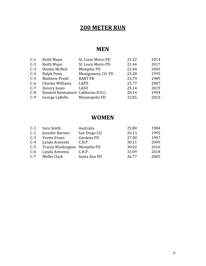#### **MEN**

| $C-1$ | Keith Major                        | St. Louis Metro PD | 21.22 | 2014 |
|-------|------------------------------------|--------------------|-------|------|
| $C-2$ | Keith Major                        | St. Louis Metro PD | 21.44 | 2017 |
| $C-3$ | Dennis McNeil                      | Memphis PD         | 22.44 | 2003 |
| $C-4$ | Ralph Penn                         | Montgomery CO. PD  | 23.28 | 1995 |
| $C-5$ | <b>Matthew Pruitt</b>              | <b>BART PD</b>     | 23.79 | 1989 |
| $C-6$ | <b>Charles Williams</b>            | LAPD               | 25.77 | 2007 |
| $C-7$ | Devery Jones                       | <b>LASO</b>        | 25.14 | 2019 |
| $C-8$ | Emmett Kennamore California D.O.C. |                    | 28.14 | 1994 |
| $C-9$ | George LaBelle                     | Minneapolis FD     | 33.85 | 2010 |
|       |                                    |                    |       |      |

| $C-1$ | Sara Smith                   | Australia     | 25.80 | 1984 |
|-------|------------------------------|---------------|-------|------|
| $C-2$ | Jennifer Barmer              | San Diego CO. | 26.13 | 1995 |
| $C-3$ | <b>Yvette Evans</b>          | Gardena PD    | 27.90 | 1997 |
| $C-4$ | Lynda Armenta                | C.H.P.        | 30.11 | 2009 |
| $C-5$ | Tracey Washington Memphis PD |               | 30.02 | 2016 |
| $C-6$ | Lynda Armenta                | C.H.P.        | 33.09 | 2018 |
| $C-7$ | Mellie Clark                 | Santa Ana PD  | 36.77 | 2005 |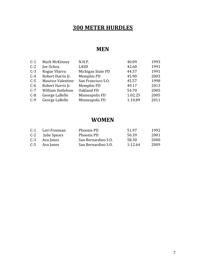# **300 METER HURDLES**

#### **MEN**

| $C-1$ | Mark McKinney            | N.H.P.             | 40.09   | 1993 |
|-------|--------------------------|--------------------|---------|------|
| $C-2$ | Joe Ochoa                | LASD               | 42.60   | 1991 |
| $C-3$ | Rogue Ybarra             | Michigan State PD  | 44.57   | 1991 |
| $C-4$ | Robert Harris Jr.        | Memphis PD         | 45.90   | 2003 |
| $C-5$ | Maurice Valentine        | San Francisco S.O. | 45.57   | 1998 |
| $C-6$ | Robert Harris Jr.        | Memphis PD         | 49.17   | 2013 |
| $C-7$ | <b>William Detlefson</b> | Oakland FD         | 54.70   | 2005 |
| $C-8$ | George LaBelle           | Minneapolis FD     | 1:02.25 | 2005 |
| $C-9$ | George LaBelle           | Minneapolis FD     | 1:10.89 | 2011 |
|       |                          |                    |         |      |

| $C-1$ | Lori Freeman | Phoenix PD          | 51.97   | 1992 |
|-------|--------------|---------------------|---------|------|
| $C-2$ | Julie Spears | Phoenix PD          | 50.39   | 2001 |
| $C-3$ | Ava Jones    | San Bernardino S.O. | 58.30   | 2000 |
| $C-5$ | Ava Jones    | San Bernardino S.O. | 1:12.64 | 2009 |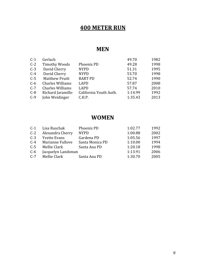#### **MEN**

| $C-1$ | Gerlach                 |                        | 49.70   | 1982 |
|-------|-------------------------|------------------------|---------|------|
| $C-2$ | <b>Timothy Woods</b>    | Phoenix PD             | 49.28   | 1998 |
| $C-3$ | David Cherry            | <b>NYPD</b>            | 51.31   | 1995 |
| $C-4$ | David Cherry            | <b>NYPD</b>            | 53.70   | 1998 |
| $C-5$ | <b>Matthew Pruitt</b>   | <b>BART PD</b>         | 52.74   | 1990 |
| $C-6$ | <b>Charles Williams</b> | LAPD                   | 57.87   | 2008 |
| $C-7$ | <b>Charles Williams</b> | LAPD                   | 57.74   | 2010 |
| $C-8$ | Richard Jaramillo       | California Youth Auth. | 1:14.99 | 1992 |
| $C-9$ | John Weidinger          | C.H.P.                 | 1:35.43 | 2013 |
|       |                         |                        |         |      |

| Lisa Ruschak        | Phoenix PD      | 1:02.77            | 1992 |
|---------------------|-----------------|--------------------|------|
| Alexandra Cherry    | <b>NYPD</b>     | 1:00.88            | 2002 |
| <b>Yvette Evans</b> | Gardena PD      | 1:05.56            | 1997 |
| Marianne Fullove    | Santa Monica PD | 1:10.00            | 1994 |
| Mellie Clark        | Santa Ana PD    | 1:20.18            | 1998 |
|                     |                 | 1:13.91            | 2006 |
| Mellie Clark        | Santa Ana PD    | 1:30.70            | 2005 |
|                     |                 | Jacquelyn Landsman |      |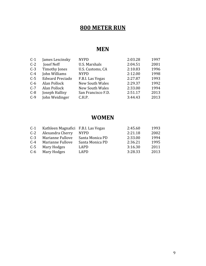#### **MEN**

| $C-1$ | James Lescinsky        | <b>NYPD</b>          | 2:03.28 | 1997 |
|-------|------------------------|----------------------|---------|------|
| $C-2$ | Josef Neff             | <b>U.S. Marshals</b> | 2:04.51 | 2001 |
| $C-3$ | Timothy Jones          | U.S. Customs, CA     | 2:10.83 | 1996 |
| $C-4$ | John Williams          | <b>NYPD</b>          | 2:12.00 | 1998 |
| $C-5$ | <b>Edward Preciado</b> | F.B.I. Las Vegas     | 2:27.87 | 1993 |
| $C-6$ | Alan Pollock           | New South Wales      | 2:29.37 | 1992 |
| $C-7$ | Alan Pollock           | New South Wales      | 2:33.00 | 1994 |
| $C-8$ | Joseph Hallisy         | San Francisco F.D.   | 2:51.17 | 2013 |
| $C-9$ | John Weidinger         | C.H.P.               | 3:44.43 | 2013 |
|       |                        |                      |         |      |

| $C-1$ | Kathleen Magnafici F.B.I. Las Vegas |                 | 2:45.60 | 1993 |
|-------|-------------------------------------|-----------------|---------|------|
| $C-2$ | Alexandra Cherry                    | <b>NYPD</b>     | 2:21.18 | 2002 |
| $C-3$ | Marianne Fullove                    | Santa Monica PD | 2:33.00 | 1994 |
| $C-4$ | Marianne Fullove                    | Santa Monica PD | 2:36.21 | 1995 |
| $C-5$ | Mary Hodges                         | LAPD            | 3:16.30 | 2011 |
| $C-6$ | Mary Hodges                         | LAPD            | 3:28.33 | 2013 |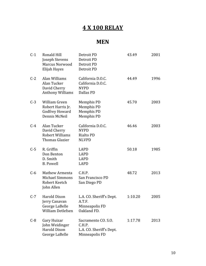# **4 X 100 RELAY**

## **MEN**

| $C-1$ | Ronald Hill<br>Joseph Stevens<br>Marcus Norwood<br>Elijah Hayes                     | Detroit PD<br>Detroit PD<br>Detroit PD<br>Detroit PD                        | 43.49   | 2001 |
|-------|-------------------------------------------------------------------------------------|-----------------------------------------------------------------------------|---------|------|
| $C-2$ | Alan Williams<br>Alan Tucker<br>David Cherry<br><b>Anthony Williams</b>             | California D.O.C.<br>California D.O.C.<br><b>NYPD</b><br>Dallas PD          | 44.49   | 1996 |
| $C-3$ | <b>William Green</b><br>Robert Harris Jr.<br><b>Godfrey Howard</b><br>Dennis McNeil | Memphis PD<br>Memphis PD<br>Memphis PD<br>Memphis PD                        | 45.70   | 2003 |
| $C-4$ | Alan Tucker<br>David Cherry<br>Robert Williams<br><b>Thomas Glazier</b>             | California D.O.C.<br><b>NYPD</b><br><b>Rialto PD</b><br><b>NLVPD</b>        | 46.46   | 2003 |
| $C-5$ | R. Griffin<br>Don Benton<br>D. Smith<br><b>B.</b> Powell                            | LAPD<br>LAPD<br>LAPD<br>LAPD                                                | 50.18   | 1985 |
| $C-6$ | Mathew Armenta<br><b>Michael Simmons</b><br>Robert Keetch<br>John Allen             | C.H.P.<br>San Francisco PD<br>San Diego PD                                  | 48.72   | 2013 |
| $C-7$ | Harold Dixon<br>Jerry Canavan<br>George LaBelle<br><b>William Detlefsen</b>         | L.A. CO. Sheriff's Dept.<br>A.T.F.<br>Minneapolis FD<br>Oakland FD.         | 1:10.20 | 2005 |
| $C-8$ | Gary Huizar<br>John Weidinger<br>Harold Dixon<br>George LaBelle                     | Sacramento CO. S.O.<br>C.H.P.<br>L.A. CO. Sheriff's Dept.<br>Minneapolis FD | 1:17.78 | 2013 |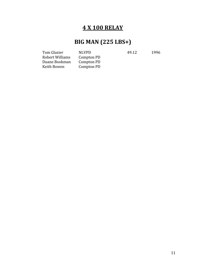## **4 X 100 RELAY**

# **BIG MAN (225 LBS+)**

Tom Glazier MLVPD 49.12 1996 Robert Williams Compton PD Duane Bookman<br>Keith Bowen

Compton PD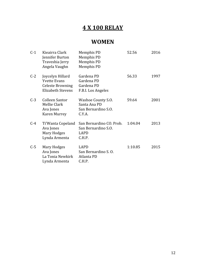# **4 X 100 RELAY**

| $C-1$ | Kieairra Clark<br>Jennifer Burton<br>Traveshia Jerry<br>Angela Vaughn                          | Memphis PD<br>Memphis PD<br>Memphis PD<br>Memphis PD                | 52.56   | 2016 |
|-------|------------------------------------------------------------------------------------------------|---------------------------------------------------------------------|---------|------|
| $C-2$ | Joycelyn Hillard<br><b>Yvette Evans</b><br><b>Celeste Browning</b><br><b>Elizabeth Stevens</b> | Gardena PD<br>Gardena PD<br>Gardena PD<br>F.B.I. Los Angeles        | 56.33   | 1997 |
| $C-3$ | Colleen Santor<br>Mellie Clark<br>Ava Jones<br>Karen Murrey                                    | Washoe County S.O.<br>Santa Ana PD<br>San Bernardino S.O.<br>C.Y.A. | 59.64   | 2001 |
| $C-4$ | Ti'Wanta Copeland<br>Ava Jones<br>Mary Hodges<br>Lynda Armenta                                 | San Bernardino CO. Prob.<br>San Bernardino S.O.<br>LAPD<br>C.H.P.   | 1:04.04 | 2013 |
| $C-5$ | Mary Hodges<br>Ava Jones<br>La Tonia Newkirk<br>Lynda Armenta                                  | <b>LAPD</b><br>San Bernardino S.O.<br>Atlanta PD<br>C.H.P.          | 1:10.85 | 2015 |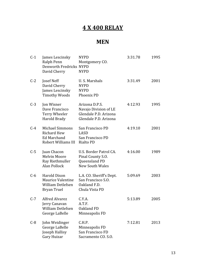# **4 X 400 RELAY**

## **MEN**

| $C-1$ | James Lescinsky<br>Ralph Penn<br>Denworth Fredricks NYPD<br>David Cherry             | <b>NYPD</b><br>Montgomery CO.<br><b>NYPD</b>                                              | 3:31.78 | 1995 |
|-------|--------------------------------------------------------------------------------------|-------------------------------------------------------------------------------------------|---------|------|
| $C-2$ | Josef Neff<br>David Cherry<br>James Lescinsky<br><b>Timothy Woods</b>                | U.S. Marshals<br><b>NYPD</b><br><b>NYPD</b><br>Phoenix PD                                 | 3:31.49 | 2001 |
| $C-3$ | Jon Wisner<br>Dave Francisco<br><b>Terry Wheeler</b><br><b>Harold Brady</b>          | Arizona D.P.S.<br>Navajo Division of LE<br>Glendale P.D. Arizona<br>Glendale P.D. Arizona | 4:12.93 | 1995 |
| $C-4$ | <b>Michael Simmons</b><br><b>Richard Hew</b><br>Ed Marchand<br>Robert Williams III   | San Francisco PD<br>LASD<br>San Francisco PD<br><b>Rialto PD</b>                          | 4:19.10 | 2001 |
| $C-5$ | Juan Chacon<br><b>Melvin Moore</b><br>Ray Riethmuller<br><b>Alan Pollock</b>         | U.S. Border Patrol CA.<br>Pinal County S.O.<br>Queensland PD<br><b>New South Wales</b>    | 4:16.00 | 1989 |
| $C-6$ | Harold Dixon<br>Maurice Valentine<br>William Detlefsen<br><b>Bryan Truel</b>         | L.A. CO. Sheriff's Dept.<br>San Francisco S.O.<br>Oakland F.D.<br>Chula Vista PD          | 5:09.69 | 2003 |
| $C-7$ | <b>Alfred Alvarez</b><br>Jerry Canavan<br><b>William Detlefsen</b><br>George LaBelle | C.Y.A.<br>A.T.F.<br>Oakland FD<br>Minneapolis FD                                          | 5:13.89 | 2005 |
| $C-8$ | John Weidinger<br>George LaBelle<br>Joseph Hallisy<br>Gary Huizar                    | C.H.P.<br>Minneapolis FD<br>San Francisco FD<br>Sacramento CO. S.O.                       | 7:12.81 | 2013 |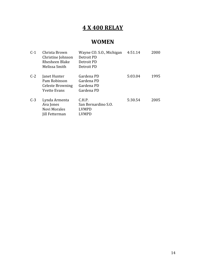# **4 X 400 RELAY**

| $C-1$ | Christa Brown<br>Christine Johnson<br>Rhesheen Blake<br>Melissa Smith          | Wayne CO. S.O., Michigan<br>Detroit PD<br>Detroit PD<br>Detroit PD | 4:51.14 | 2000 |
|-------|--------------------------------------------------------------------------------|--------------------------------------------------------------------|---------|------|
| $C-2$ | Janet Hunter<br>Pam Robinson<br><b>Celeste Browning</b><br><b>Yvette Evans</b> | Gardena PD<br>Gardena PD<br>Gardena PD<br>Gardena PD               | 5:03.04 | 1995 |
| $C-3$ | Lynda Armenta<br>Ava Jones<br>Novi Morales<br><b>Iill Fetterman</b>            | C.H.P.<br>San Bernardino S.O.<br><b>LVMPD</b><br><b>LVMPD</b>      | 5:30.54 | 2005 |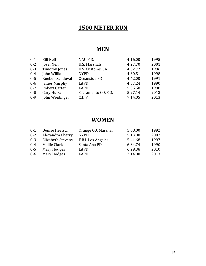#### **MEN**

| 4:16.00 | 1995 |
|---------|------|
| 4:27.70 | 2001 |
| 4:32.77 | 1996 |
| 4:30.51 | 1998 |
| 4:42.00 | 1991 |
| 4:57.24 | 1990 |
| 5:35.50 | 1990 |
| 5:27.14 | 2013 |
| 7:14.05 | 2013 |
|         |      |

| $C-1$ | Denise Hertsch           | Orange CO. Marshal | 5:08.00 | 1992 |
|-------|--------------------------|--------------------|---------|------|
| $C-2$ | Alexandra Cherry         | <b>NYPD</b>        | 5:13.80 | 2002 |
| $C-3$ | <b>Elizabeth Stevens</b> | F.B.I. Los Angeles | 5:41.68 | 1997 |
| $C-4$ | Mellie Clark             | Santa Ana PD       | 6:34.74 | 1990 |
| $C-5$ | Mary Hodges              | LAPD               | 6:29.38 | 2010 |
| $C-6$ | Mary Hodges              | LAPD               | 7:14.00 | 2013 |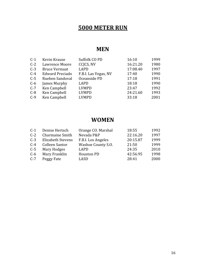#### **MEN**

| $C-1$ | Kevin Krause           | Suffolk CO PD        | 16:10    | 1999 |
|-------|------------------------|----------------------|----------|------|
| $C-2$ | Lawrence Moore         | CCJCS, NV            | 16:21.20 | 1980 |
| $C-3$ | <b>Bruce Vermaat</b>   | LAPD                 | 17:08.40 | 1997 |
| $C-4$ | <b>Edward Preciado</b> | F.B.I. Las Vegas, NV | 17:40    | 1990 |
| $C-5$ | Rueben Sandoval        | Oceanside PD         | 17:18    | 1991 |
| $C-6$ | James Murphy           | LAPD                 | 18:18    | 1990 |
| $C-7$ | Ken Campbell           | <b>LVMPD</b>         | 23:47    | 1992 |
| $C-8$ | Ken Campbell           | <b>LVMPD</b>         | 24:21.60 | 1993 |
| $C-9$ | Ken Campbell           | <b>LVMPD</b>         | 33:18    | 2001 |
|       |                        |                      |          |      |

| $C-1$ | Denise Hertsch           | Orange CO. Marshal | 18:55    | 1992 |
|-------|--------------------------|--------------------|----------|------|
| $C-2$ | <b>Charmaine Smith</b>   | Nevada P&P         | 22:16.20 | 1997 |
| $C-3$ | <b>Elizabeth Stevens</b> | F.B.I. Los Angeles | 20:15.87 | 1999 |
| $C-4$ | Colleen Santor           | Washoe County S.O. | 21:50    | 1999 |
| $C-5$ | Mary Hodges              | LAPD               | 24:35    | 2010 |
| $C-6$ | Mary Franklin            | <b>Houston PD</b>  | 42:56.95 | 1998 |
| $C-7$ | Peggy Fate               | LASD               | 28:41    | 2000 |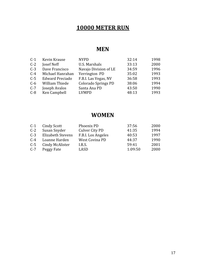#### **MEN**

| $C-1$ | Kevin Krause           | <b>NYPD</b>                | 32:14 | 1998 |
|-------|------------------------|----------------------------|-------|------|
| $C-2$ | Josef Neff             | U.S. Marshals              | 33:13 | 2000 |
| $C-3$ | Dave Francisco         | Navajo Division of LE      | 34:59 | 1996 |
| $C-4$ | Michael Hanrahan       | Yerrington PD              | 35:02 | 1993 |
| $C-5$ | <b>Edward Preciado</b> | F.B.I. Las Vegas, NV       | 36:58 | 1993 |
| $C-6$ | William Thiede         | <b>Colorado Springs PD</b> | 38:06 | 1994 |
| $C-7$ | Joseph Avalos          | Santa Ana PD               | 43:50 | 1990 |
| $C-8$ | Ken Campbell           | <b>LVMPD</b>               | 48:13 | 1993 |

| $C-1$ | Cindy Scott              | Phoenix PD            | 37:56   | 2000 |
|-------|--------------------------|-----------------------|---------|------|
| $C-2$ | Susan Snyder             | Culver City PD        | 41:35   | 1994 |
| $C-3$ | <b>Elizabeth Stevens</b> | F.B.I. Los Angeles    | 40:53   | 1997 |
| $C-4$ | Loanne Harden            | <b>West Covina PD</b> | 44:37   | 1990 |
| $C-5$ | Cindy McAlister          | I.R.S.                | 59:41   | 2001 |
| $C-7$ | Peggy Fate               | LASD                  | 1:09:50 | 2000 |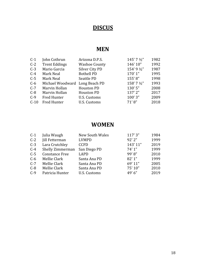# **DISCUS**

#### **MEN**

| $C-1$  | John Cothrun         | Arizona D.P.S.       | 145' 7 1/2" | 1982 |
|--------|----------------------|----------------------|-------------|------|
| $C-2$  | <b>Trent Eddings</b> | <b>Washoe County</b> | 146' 10"    | 1992 |
| $C-3$  | Mario Garcia         | Silver City PD       | 154' 9 1/2" | 1987 |
| $C-4$  | Mark Neal            | <b>Bothell PD</b>    | 170'1''     | 1995 |
| $C-5$  | Mark Neal            | Seattle PD           | 155'8"      | 1998 |
| $C-6$  | Michael Woodward     | Long Beach PD        | 158' 7 1/2" | 1993 |
| $C-7$  | Marvin Hollan        | <b>Houston PD</b>    | 130'5"      | 2008 |
| $C-8$  | Marvin Hollan        | <b>Houston PD</b>    | 137' 2"     | 2017 |
| $C-9$  | Fred Hunter          | <b>U.S. Customs</b>  | 100'3"      | 2009 |
| $C-10$ | Fred Hunter          | <b>U.S. Customs</b>  | 71'8''      | 2018 |
|        |                      |                      |             |      |

| 92'2''<br>Jill Fetterman<br><b>LVMPD</b><br>$C-2$         | 117'3"<br>1984 |
|-----------------------------------------------------------|----------------|
|                                                           | 1999           |
| 143'11"<br>Lara Crutchley<br>$C-3$<br><b>CCFD</b>         | 2019           |
| 74'1''<br>San Diego PD<br>$C-4$<br>Shelly Zimmerman       | 1999           |
| 99'8"<br>$C-5$<br><b>Constance Free</b><br><b>LAPD</b>    | 2010           |
| 82'1"<br>Mellie Clark<br>$C-6$<br>Santa Ana PD            | 1999           |
| 69' 11"<br>$C-7$<br>Mellie Clark<br>Santa Ana PD          | 2005           |
| 75' 10"<br>$C-8$<br>Mellie Clark<br>Santa Ana PD          | 2010           |
| 49'6''<br>$C-9$<br>Patricia Hunter<br><b>U.S. Customs</b> | 2019           |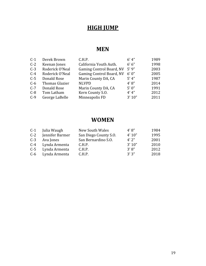# **HIGH JUMP**

#### **MEN**

| $C-1$ | Derek Brown     | C.H.P.                          | 6' 4'' | 1989 |
|-------|-----------------|---------------------------------|--------|------|
| $C-2$ | Keenan Jones    | California Youth Auth.          | 6' 6'' | 1998 |
| $C-3$ | Roderick O'Neal | <b>Gaming Control Board, NV</b> | 5'9''  | 2003 |
| $C-4$ | Roderick O'Neal | Gaming Control Board, NV        | 6'0''  | 2005 |
| $C-5$ | Donald Rose     | Marin County DA, CA             | 5' 4'' | 1987 |
| $C-6$ | Thomas Glazier  | <b>NLVPD</b>                    | 4'8''  | 2014 |
| $C-7$ | Donald Rose     | Marin County DA, CA             | 5'0''  | 1991 |
| $C-8$ | Tom Latham      | Kern County S.O.                | 4' 4'' | 2012 |
| $C-9$ | George LaBelle  | Minneapolis FD                  | 3'10'' | 2011 |

| $C-1$ | Julia Waugh     | New South Wales       | 4'8''   | 1984 |
|-------|-----------------|-----------------------|---------|------|
| $C-2$ | Jennifer Barmer | San Diego County S.O. | 4' 10'' | 1995 |
| $C-3$ | Ava Jones       | San Bernardino S.O.   | 4'2''   | 2001 |
| $C-4$ | Lynda Armenta   | C.H.P.                | 3'10''  | 2010 |
| $C-5$ | Lynda Armenta   | C.H.P.                | 3'8''   | 2012 |
| $C-6$ | Lynda Armenta   | C.H.P.                | 3'3''   | 2018 |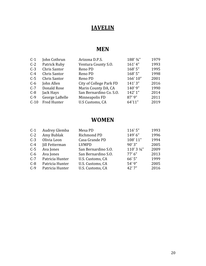# **JAVELIN**

#### **MEN**

| $C-1$  | John Cothrun   | Arizona D.P.S.          | 188' 3/4" | 1979 |
|--------|----------------|-------------------------|-----------|------|
| $C-2$  | Patrick Ruby   | Ventura County S.O.     | $161'$ 4" | 1993 |
| $C-3$  | Chris Santor   | Reno PD                 | 168' 5"   | 1995 |
| $C-4$  | Chris Santor   | Reno PD                 | 168'5"    | 1998 |
| $C-5$  | Chris Santor   | Reno PD                 | 166' 10"  | 2001 |
| $C-6$  | John Allen     | City of College Park FD | 141'3"    | 2016 |
| $C-7$  | Donald Rose    | Marin County DA, CA     | 140'9"    | 1990 |
| $C-8$  | Jack Hays      | San Bernardino Co. S.O. | 142' 1"   | 2014 |
| $C-9$  | George LaBelle | Minneapolis FD          | 87'9''    | 2011 |
| $C-10$ | Fred Hunter    | <b>U.S Customs, CA</b>  | 64'11"    | 2019 |

| Audrey Glemba   | Mesa PD             | 116'5''     | 1993 |
|-----------------|---------------------|-------------|------|
| Amy Bublak      | Richmond PD         | 149'6"      | 1996 |
| Olivia Leon     | Casa Grande PD      | 108'11"     | 1994 |
| Jill Fetterman  | <b>LVMPD</b>        | 90'3''      | 2005 |
| Ava Jones       | San Bernardino S.O. | 110' 3 1/4" | 2009 |
| Ava Jones       | San Bernardino S.O. | 77'6''      | 2013 |
| Patricia Hunter | U.S. Customs, CA    | 66'5"       | 1999 |
| Patricia Hunter | U.S. Customs, CA    | 54'9"       | 2005 |
| Patricia Hunter | U.S. Customs, CA    | 42'7''      | 2016 |
|                 |                     |             |      |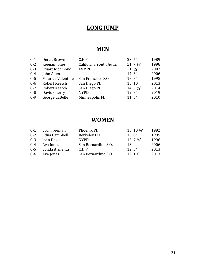# **LONG JUMP**

## **MEN**

| Derek Brown              | C.H.P.                 | 23'5''                  | 1989 |
|--------------------------|------------------------|-------------------------|------|
| Keenan Jones             | California Youth Auth. | $21'$ 7 $\frac{1}{4}$ " | 1998 |
| <b>Stuart Richmond</b>   | <b>LVMPD</b>           | $21'$ $\frac{1}{2}$ "   | 2007 |
| John Allen               |                        | 17'3''                  | 2006 |
| <b>Maurice Valentine</b> | San Francisco S.O.     | 18'8"                   | 1998 |
| Robert Keetch            | San Diego PD           | 15' 10"                 | 2013 |
| Robert Keetch            | San Diego PD           | 14' 5 1/2"              | 2014 |
| David Cherry             | <b>NYPD</b>            | 12'8''                  | 2019 |
| George LaBelle           | Minneapolis FD         | 11'3''                  | 2010 |
|                          |                        |                         |      |

| Lori Freeman  | Phoenix PD          | 15' 10 1/4" | 1992 |
|---------------|---------------------|-------------|------|
| Edna Campbell | Berkeley PD         | 15'8''      | 1995 |
| Joan Davis    | <b>NYPD</b>         | 15' 7 1/4"  | 1998 |
| Ava Jones     | San Bernardino S.O. | 13'         | 2006 |
| Lynda Armenta | C.H.P.              | 12'3''      | 2013 |
| Ava Jones     | San Bernardino S.O. | 12'10''     | 2013 |
|               |                     |             |      |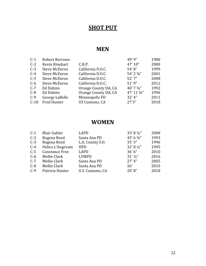# **SHOT PUT**

#### **MEN**

| $C-1$  | Robert Barrows       |                      | 49'9''                  | 1980 |
|--------|----------------------|----------------------|-------------------------|------|
| $C-2$  | Kevin Rinehart       | C.H.P.               | 47' 10"                 | 2000 |
| $C-3$  | <b>Steve McEnroe</b> | California D.O.C.    | 54'8"                   | 1999 |
| $C-4$  | <b>Steve McEnroe</b> | California D.O.C.    | 54' 2 3/4"              | 2001 |
| $C-5$  | <b>Steve McEnroe</b> | California D.O.C.    | 52'7''                  | 2008 |
| $C-6$  | <b>Steve McEnroe</b> | California D.O.C.    | 51'9''                  | 2012 |
| $C-7$  | Ed Dahms             | Orange County DA, CA | $40'$ 7 $\frac{3}{4}$ " | 1992 |
| $C-8$  | <b>Ed Dahms</b>      | Orange County DA, CA | 47' 11 3/4"             | 1996 |
| $C-9$  | George LaBelle       | Minneapolis FD       | 32' 4''                 | 2011 |
| $C-10$ | Fred Hunter          | US Customs, CA       | 27'3''                  | 2018 |
|        |                      |                      |                         |      |

| $C-1$ | <b>Blair Gabler</b>   | <b>LAPD</b>      | 33' 8 1/2"            | 2008 |
|-------|-----------------------|------------------|-----------------------|------|
| $C-2$ | Rogena Reed           | Santa Ana PD     | 43' 6 3/4"            | 1993 |
| $C-3$ | Rogena Reed           | L.A. County S.O. | 35'3''                | 1996 |
| $C-4$ | Debra L'Angevain      | <b>HPD</b>       | 32' 8 1/2"            | 1995 |
| $C-5$ | <b>Constance Free</b> | <b>LAPD</b>      | 36'6''                | 2010 |
| $C-6$ | Mellie Clark          | <b>LVMPD</b>     | $31'$ $\frac{1}{2}$ " | 2016 |
| $C-7$ | Mellie Clark          | Santa Ana PD     | 27' 4''               | 2005 |
| $C-8$ | Mellie Clark          | Santa Ana PD     | 26'                   | 2010 |
| $C-9$ | Patricia Hunter       | U.S. Customs, CA | 20'8''                | 2018 |
|       |                       |                  |                       |      |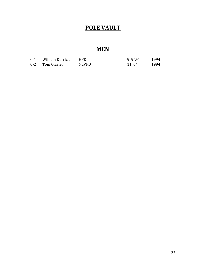# **POLE VAULT**

## **MEN**

| $C-1$ | William Derrick | <b>HPD</b>   | $9'9\frac{1}{2}''$ | 1994 |
|-------|-----------------|--------------|--------------------|------|
|       | C-2 Tom Glazier | <b>NLVPD</b> | 11'0''             | 1994 |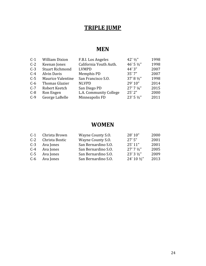# **TRIPLE JUMP**

#### **MEN**

| $C-1$ | <b>William Dixion</b>    | F.B.I. Los Angeles     | $42'$ $1/2''$           | 1998 |
|-------|--------------------------|------------------------|-------------------------|------|
| $C-2$ | Keenan Jones             | California Youth Auth. | 46' 5 1/2"              | 1998 |
| $C-3$ | <b>Stuart Richmond</b>   | <b>LVMPD</b>           | 44'3"                   | 2007 |
| $C-4$ | <b>Alvin Davis</b>       | Memphis PD             | 35'7''                  | 2007 |
| $C-5$ | <b>Maurice Valentine</b> | San Francisco S.O.     | 37' 8 1/2"              | 1998 |
| $C-6$ | Thomas Glazier           | <b>NLVPD</b>           | 29' 10"                 | 2014 |
| $C-7$ | Robert Keetch            | San Diego PD           | $27'$ 7 $\frac{1}{4}$ " | 2015 |
| $C-8$ | Ron Engen                | L.A. Community College | 25'2''                  | 2000 |
| $C-9$ | George LaBelle           | Minneapolis FD         | 23' 5 1/2"              | 2011 |
|       |                          |                        |                         |      |

| Christa Brown  | Wayne County S.O.   | 28' 10"     | 2000 |
|----------------|---------------------|-------------|------|
| Christa Bostic | Wayne County S.O.   | 27'5''      | 2001 |
| Ava Jones      | San Bernardino S.O. | 25' 11"     | 2001 |
| Ava Jones      | San Bernardino S.O. | 27'7'2''    | 2005 |
| Ava Jones      | San Bernardino S.O. | 23'3'2''    | 2009 |
| Ava Jones      | San Bernardino S.O. | 24' 10 1/2" | 2013 |
|                |                     |             |      |